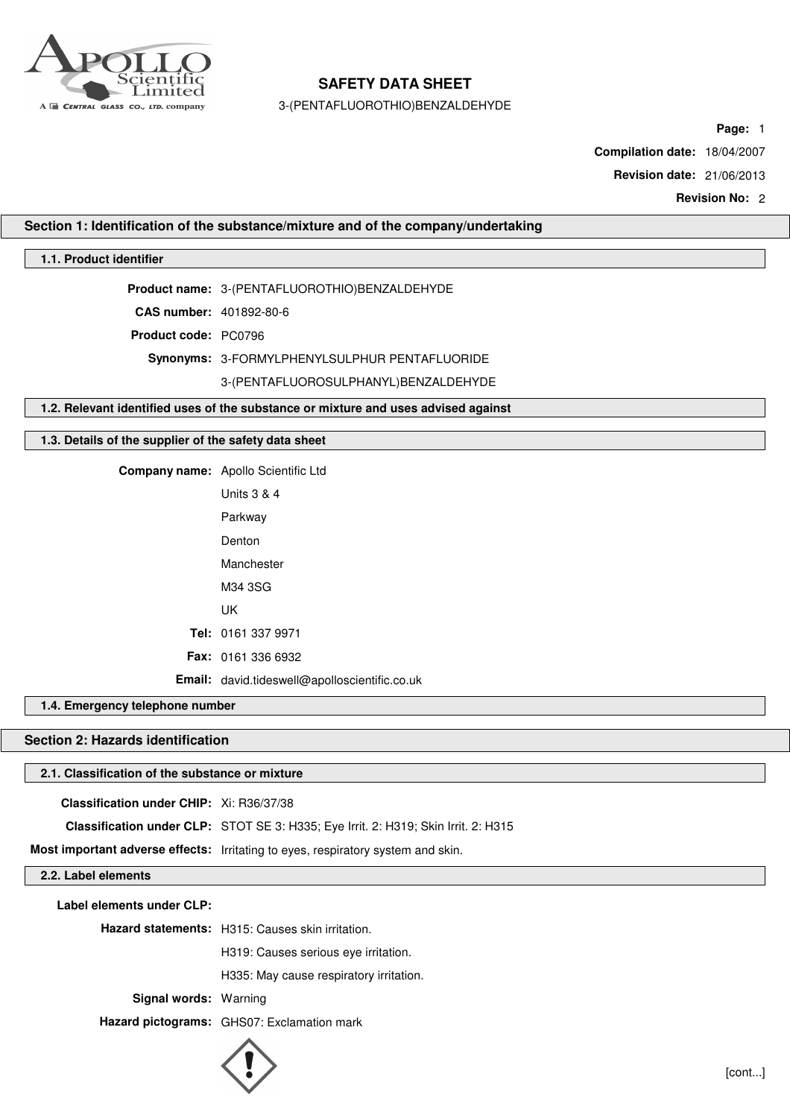

3-(PENTAFLUOROTHIO)BENZALDEHYDE

**Page:** 1

**Compilation date:** 18/04/2007

**Revision date:** 21/06/2013

**Revision No:** 2

**Section 1: Identification of the substance/mixture and of the company/undertaking**

## **1.1. Product identifier**

**Product name:** 3-(PENTAFLUOROTHIO)BENZALDEHYDE

**CAS number:** 401892-80-6

**Product code:** PC0796

**Synonyms:** 3-FORMYLPHENYLSULPHUR PENTAFLUORIDE

### 3-(PENTAFLUOROSULPHANYL)BENZALDEHYDE

**1.2. Relevant identified uses of the substance or mixture and uses advised against**

## **1.3. Details of the supplier of the safety data sheet**

**Company name:** Apollo Scientific Ltd

| Units 3 & 4                                   |
|-----------------------------------------------|
|                                               |
| Parkway                                       |
| Denton                                        |
| Manchester                                    |
| M34 3SG                                       |
| UK                                            |
| Tel: 0161 337 9971                            |
| <b>Fax: 0161 336 6932</b>                     |
| Email: david.tideswell@apolloscientific.co.uk |

## **1.4. Emergency telephone number**

# **Section 2: Hazards identification**

## **2.1. Classification of the substance or mixture**

**Classification under CHIP:** Xi: R36/37/38

**Classification under CLP:** STOT SE 3: H335; Eye Irrit. 2: H319; Skin Irrit. 2: H315

**Most important adverse effects:** Irritating to eyes, respiratory system and skin.

**2.2. Label elements**

**Label elements under CLP:**

**Hazard statements:** H315: Causes skin irritation.

H319: Causes serious eye irritation.

H335: May cause respiratory irritation.

**Signal words:** Warning

**Hazard pictograms:** GHS07: Exclamation mark

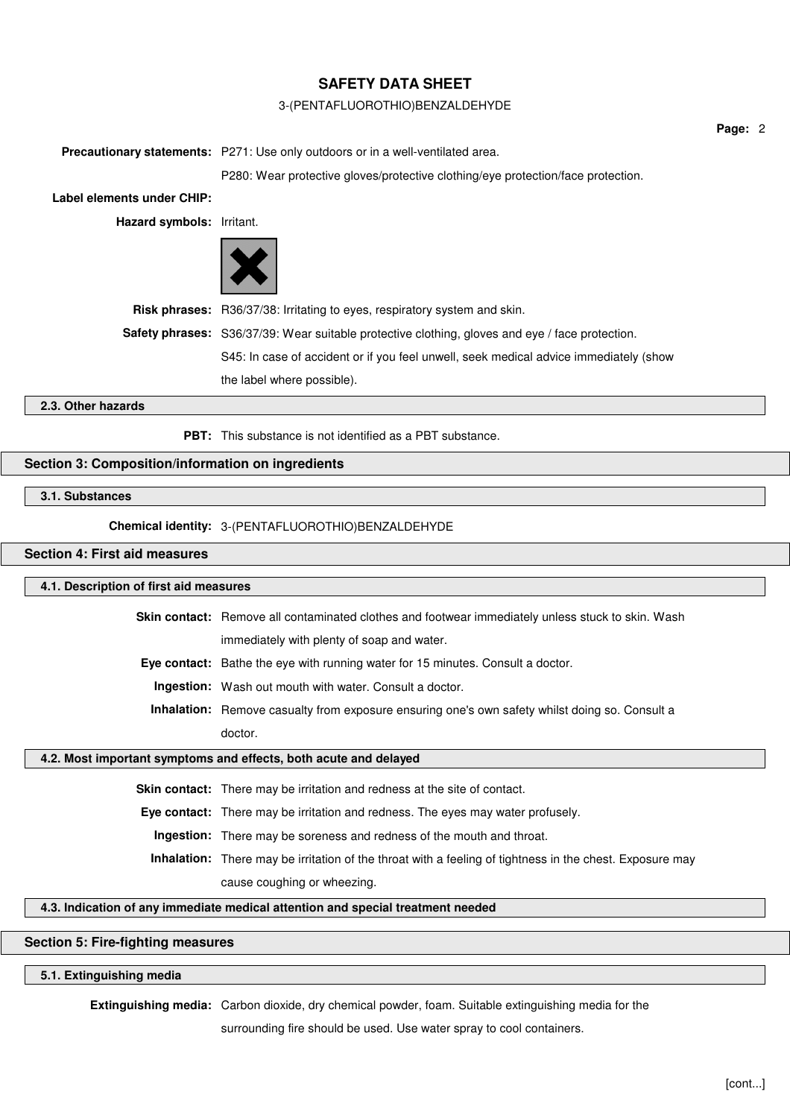## 3-(PENTAFLUOROTHIO)BENZALDEHYDE

**Precautionary statements:** P271: Use only outdoors or in a well-ventilated area. P280: Wear protective gloves/protective clothing/eye protection/face protection. **Label elements under CHIP: Hazard symbols:** Irritant. **Risk phrases:** R36/37/38: Irritating to eyes, respiratory system and skin. **Safety phrases:** S36/37/39: Wear suitable protective clothing, gloves and eye / face protection. S45: In case of accident or if you feel unwell, seek medical advice immediately (show the label where possible).

### **2.3. Other hazards**

**PBT:** This substance is not identified as a PBT substance.

# **Section 3: Composition/information on ingredients**

## **3.1. Substances**

**Chemical identity:** 3-(PENTAFLUOROTHIO)BENZALDEHYDE

# **Section 4: First aid measures**

### **4.1. Description of first aid measures**

**Skin contact:** Remove all contaminated clothes and footwear immediately unless stuck to skin. Wash immediately with plenty of soap and water.

**Eye contact:** Bathe the eye with running water for 15 minutes. Consult a doctor.

**Ingestion:** Wash out mouth with water. Consult a doctor.

**Inhalation:** Remove casualty from exposure ensuring one's own safety whilst doing so. Consult a doctor.

#### **4.2. Most important symptoms and effects, both acute and delayed**

**Skin contact:** There may be irritation and redness at the site of contact.

**Eye contact:** There may be irritation and redness. The eyes may water profusely.

**Ingestion:** There may be soreness and redness of the mouth and throat.

**Inhalation:** There may be irritation of the throat with a feeling of tightness in the chest. Exposure may

cause coughing or wheezing.

## **4.3. Indication of any immediate medical attention and special treatment needed**

# **Section 5: Fire-fighting measures**

## **5.1. Extinguishing media**

**Extinguishing media:** Carbon dioxide, dry chemical powder, foam. Suitable extinguishing media for the

surrounding fire should be used. Use water spray to cool containers.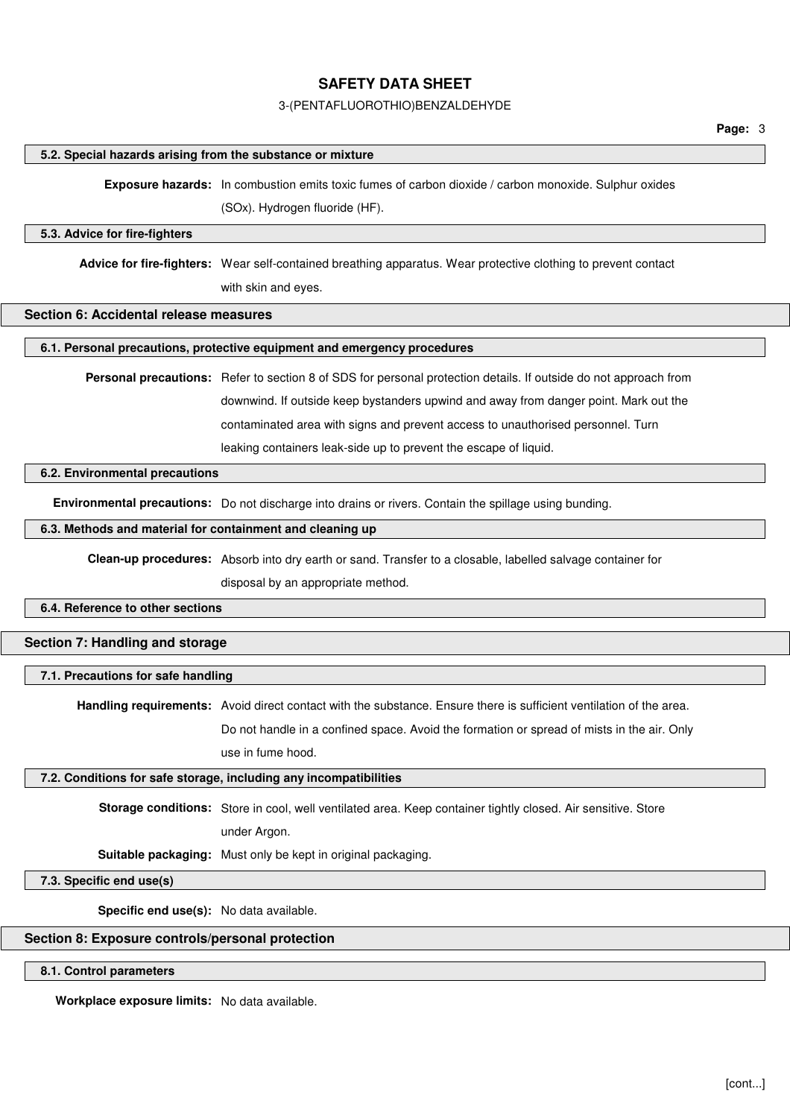### 3-(PENTAFLUOROTHIO)BENZALDEHYDE

#### **5.2. Special hazards arising from the substance or mixture**

**Exposure hazards:** In combustion emits toxic fumes of carbon dioxide / carbon monoxide. Sulphur oxides

(SOx). Hydrogen fluoride (HF).

#### **5.3. Advice for fire-fighters**

**Advice for fire-fighters:** Wear self-contained breathing apparatus. Wear protective clothing to prevent contact with skin and eyes.

## **Section 6: Accidental release measures**

#### **6.1. Personal precautions, protective equipment and emergency procedures**

**Personal precautions:** Refer to section 8 of SDS for personal protection details. If outside do not approach from downwind. If outside keep bystanders upwind and away from danger point. Mark out the contaminated area with signs and prevent access to unauthorised personnel. Turn leaking containers leak-side up to prevent the escape of liquid.

### **6.2. Environmental precautions**

**Environmental precautions:** Do not discharge into drains or rivers. Contain the spillage using bunding.

## **6.3. Methods and material for containment and cleaning up**

**Clean-up procedures:** Absorb into dry earth or sand. Transfer to a closable, labelled salvage container for

disposal by an appropriate method.

## **6.4. Reference to other sections**

# **Section 7: Handling and storage**

## **7.1. Precautions for safe handling**

**Handling requirements:** Avoid direct contact with the substance. Ensure there is sufficient ventilation of the area.

Do not handle in a confined space. Avoid the formation or spread of mists in the air. Only use in fume hood.

#### **7.2. Conditions for safe storage, including any incompatibilities**

**Storage conditions:** Store in cool, well ventilated area. Keep container tightly closed. Air sensitive. Store under Argon.

**Suitable packaging:** Must only be kept in original packaging.

## **7.3. Specific end use(s)**

**Specific end use(s):** No data available.

# **Section 8: Exposure controls/personal protection**

**8.1. Control parameters**

**Workplace exposure limits:** No data available.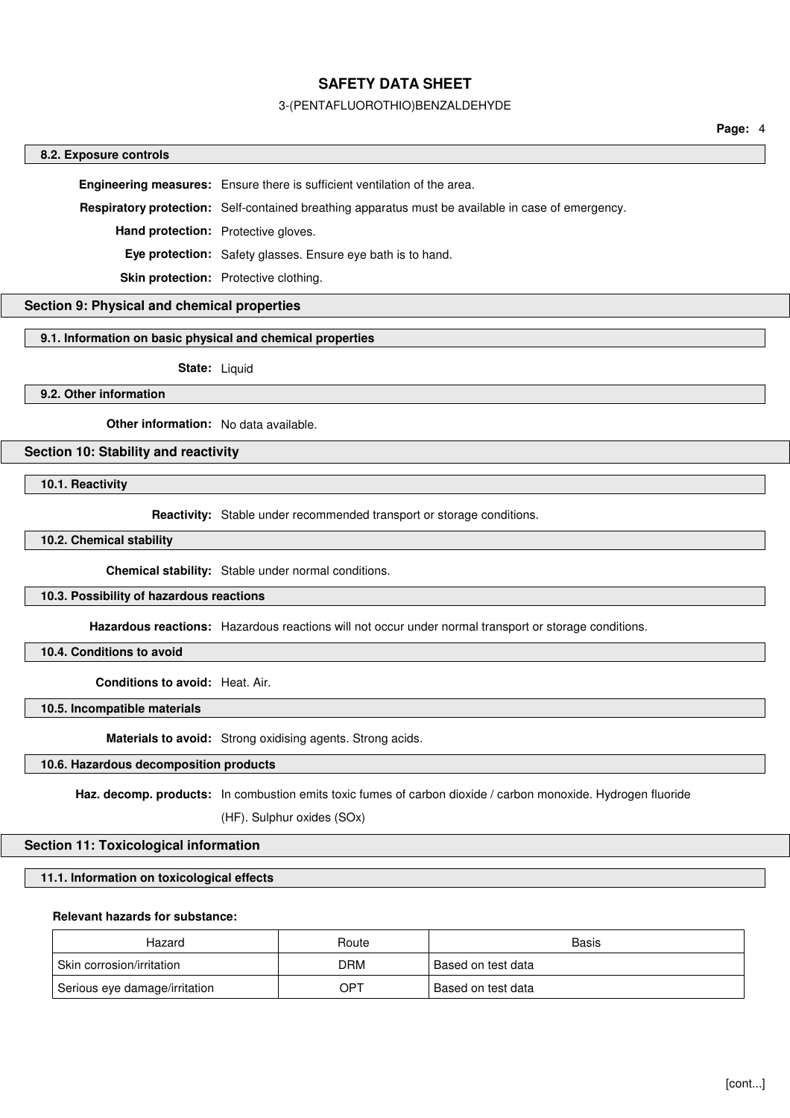### 3-(PENTAFLUOROTHIO)BENZALDEHYDE

**Page:** 4

#### **8.2. Exposure controls**

**Engineering measures:** Ensure there is sufficient ventilation of the area.

**Respiratory protection:** Self-contained breathing apparatus must be available in case of emergency.

**Hand protection:** Protective gloves.

**Eye protection:** Safety glasses. Ensure eye bath is to hand.

**Skin protection:** Protective clothing.

# **Section 9: Physical and chemical properties**

#### **9.1. Information on basic physical and chemical properties**

**State:** Liquid

**9.2. Other information**

**Other information:** No data available.

## **Section 10: Stability and reactivity**

**10.1. Reactivity**

**Reactivity:** Stable under recommended transport or storage conditions.

#### **10.2. Chemical stability**

**Chemical stability:** Stable under normal conditions.

### **10.3. Possibility of hazardous reactions**

**Hazardous reactions:** Hazardous reactions will not occur under normal transport or storage conditions.

**10.4. Conditions to avoid**

**Conditions to avoid:** Heat. Air.

**10.5. Incompatible materials**

**Materials to avoid:** Strong oxidising agents. Strong acids.

# **10.6. Hazardous decomposition products**

**Haz. decomp. products:** In combustion emits toxic fumes of carbon dioxide / carbon monoxide. Hydrogen fluoride

(HF). Sulphur oxides (SOx)

#### **Section 11: Toxicological information**

## **11.1. Information on toxicological effects**

### **Relevant hazards for substance:**

| Hazard                        | Route | Basis              |
|-------------------------------|-------|--------------------|
| Skin corrosion/irritation     | DRM   | Based on test data |
| Serious eye damage/irritation | OPT   | Based on test data |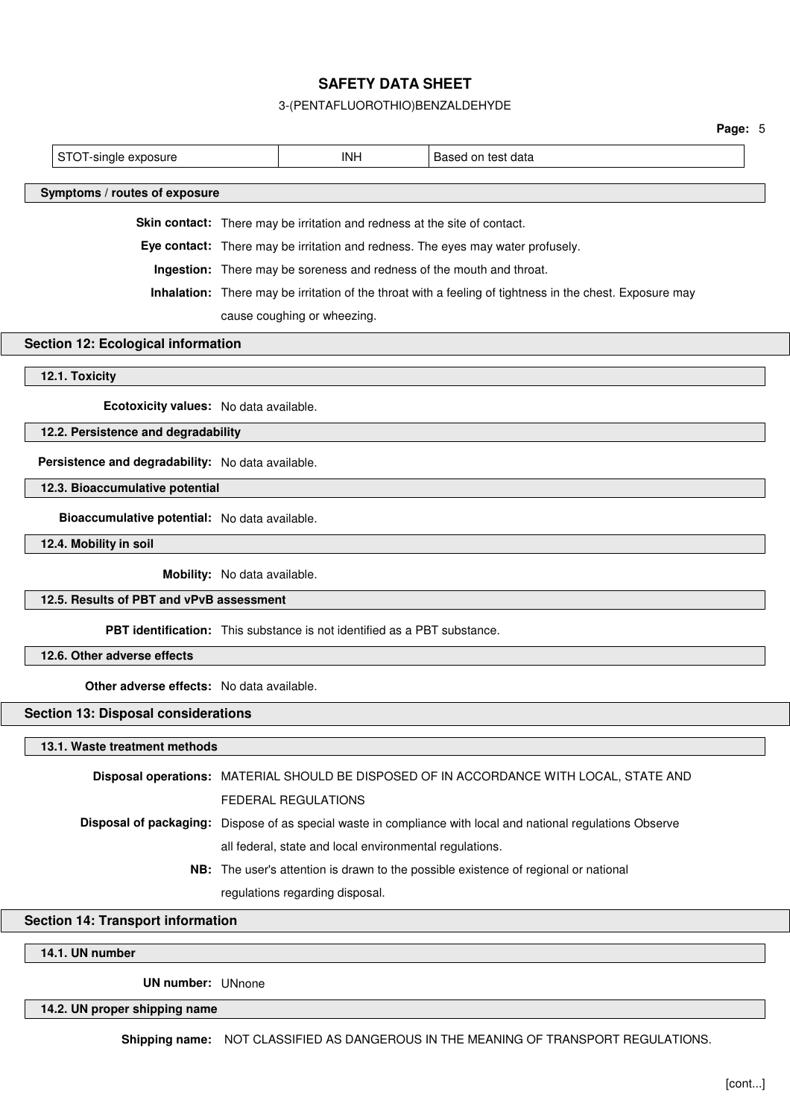# 3-(PENTAFLUOROTHIO)BENZALDEHYDE

|                                                                                                          |                                                                       |                                                                           |                                                                                                              | Page: 5 |  |  |  |
|----------------------------------------------------------------------------------------------------------|-----------------------------------------------------------------------|---------------------------------------------------------------------------|--------------------------------------------------------------------------------------------------------------|---------|--|--|--|
| STOT-single exposure                                                                                     |                                                                       | <b>INH</b>                                                                | Based on test data                                                                                           |         |  |  |  |
|                                                                                                          |                                                                       |                                                                           |                                                                                                              |         |  |  |  |
| Symptoms / routes of exposure                                                                            |                                                                       |                                                                           |                                                                                                              |         |  |  |  |
|                                                                                                          |                                                                       | Skin contact: There may be irritation and redness at the site of contact. |                                                                                                              |         |  |  |  |
|                                                                                                          |                                                                       |                                                                           | Eye contact: There may be irritation and redness. The eyes may water profusely.                              |         |  |  |  |
|                                                                                                          | Ingestion: There may be soreness and redness of the mouth and throat. |                                                                           |                                                                                                              |         |  |  |  |
| Inhalation: There may be irritation of the throat with a feeling of tightness in the chest. Exposure may |                                                                       |                                                                           |                                                                                                              |         |  |  |  |
|                                                                                                          | cause coughing or wheezing.                                           |                                                                           |                                                                                                              |         |  |  |  |
| Section 12: Ecological information                                                                       |                                                                       |                                                                           |                                                                                                              |         |  |  |  |
| 12.1. Toxicity                                                                                           |                                                                       |                                                                           |                                                                                                              |         |  |  |  |
|                                                                                                          |                                                                       |                                                                           |                                                                                                              |         |  |  |  |
| Ecotoxicity values: No data available.                                                                   |                                                                       |                                                                           |                                                                                                              |         |  |  |  |
| 12.2. Persistence and degradability                                                                      |                                                                       |                                                                           |                                                                                                              |         |  |  |  |
| Persistence and degradability: No data available.                                                        |                                                                       |                                                                           |                                                                                                              |         |  |  |  |
| 12.3. Bioaccumulative potential                                                                          |                                                                       |                                                                           |                                                                                                              |         |  |  |  |
| Bioaccumulative potential: No data available.                                                            |                                                                       |                                                                           |                                                                                                              |         |  |  |  |
| 12.4. Mobility in soil                                                                                   |                                                                       |                                                                           |                                                                                                              |         |  |  |  |
|                                                                                                          | Mobility: No data available.                                          |                                                                           |                                                                                                              |         |  |  |  |
| 12.5. Results of PBT and vPvB assessment                                                                 |                                                                       |                                                                           |                                                                                                              |         |  |  |  |
|                                                                                                          |                                                                       | PBT identification: This substance is not identified as a PBT substance.  |                                                                                                              |         |  |  |  |
| 12.6. Other adverse effects                                                                              |                                                                       |                                                                           |                                                                                                              |         |  |  |  |
| <b>Other adverse effects:</b> No data available.                                                         |                                                                       |                                                                           |                                                                                                              |         |  |  |  |
| <b>Section 13: Disposal considerations</b>                                                               |                                                                       |                                                                           |                                                                                                              |         |  |  |  |
| 13.1. Waste treatment methods                                                                            |                                                                       |                                                                           |                                                                                                              |         |  |  |  |
|                                                                                                          |                                                                       |                                                                           | Disposal operations: MATERIAL SHOULD BE DISPOSED OF IN ACCORDANCE WITH LOCAL, STATE AND                      |         |  |  |  |
|                                                                                                          |                                                                       | FEDERAL REGULATIONS                                                       |                                                                                                              |         |  |  |  |
|                                                                                                          |                                                                       |                                                                           | Disposal of packaging: Dispose of as special waste in compliance with local and national regulations Observe |         |  |  |  |
|                                                                                                          |                                                                       | all federal, state and local environmental regulations.                   |                                                                                                              |         |  |  |  |
|                                                                                                          |                                                                       |                                                                           | NB: The user's attention is drawn to the possible existence of regional or national                          |         |  |  |  |

regulations regarding disposal.

# **Section 14: Transport information**

**14.1. UN number**

**UN number:** UNnone

**14.2. UN proper shipping name**

**Shipping name:** NOT CLASSIFIED AS DANGEROUS IN THE MEANING OF TRANSPORT REGULATIONS.